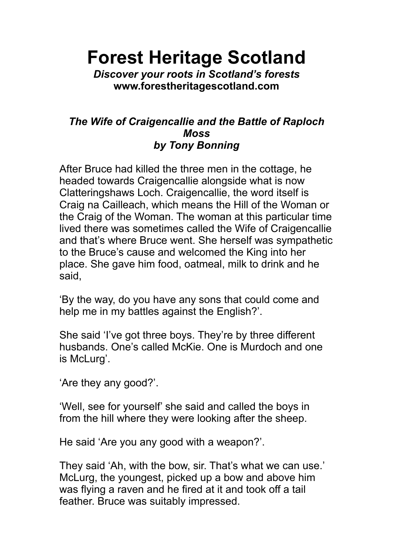**Forest Heritage Scotland**

*Discover your roots in Scotland's forests* **www.forestheritagescotland.com**

## *The Wife of Craigencallie and the Battle of Raploch Moss by Tony Bonning*

After Bruce had killed the three men in the cottage, he headed towards Craigencallie alongside what is now Clatteringshaws Loch. Craigencallie, the word itself is Craig na Cailleach, which means the Hill of the Woman or the Craig of the Woman. The woman at this particular time lived there was sometimes called the Wife of Craigencallie and that's where Bruce went. She herself was sympathetic to the Bruce's cause and welcomed the King into her place. She gave him food, oatmeal, milk to drink and he said,

'By the way, do you have any sons that could come and help me in my battles against the English?'.

She said 'I've got three boys. They're by three different husbands. One's called McKie. One is Murdoch and one is McLurg'.

'Are they any good?'.

'Well, see for yourself' she said and called the boys in from the hill where they were looking after the sheep.

He said 'Are you any good with a weapon?'.

They said 'Ah, with the bow, sir. That's what we can use.' McLurg, the youngest, picked up a bow and above him was flying a raven and he fired at it and took off a tail feather. Bruce was suitably impressed.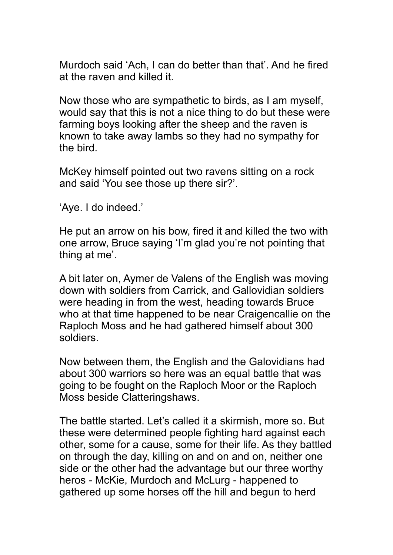Murdoch said 'Ach, I can do better than that'. And he fired at the raven and killed it.

Now those who are sympathetic to birds, as I am myself, would say that this is not a nice thing to do but these were farming boys looking after the sheep and the raven is known to take away lambs so they had no sympathy for the bird.

McKey himself pointed out two ravens sitting on a rock and said 'You see those up there sir?'.

'Aye. I do indeed.'

He put an arrow on his bow, fired it and killed the two with one arrow, Bruce saying 'I'm glad you're not pointing that thing at me'.

A bit later on, Aymer de Valens of the English was moving down with soldiers from Carrick, and Gallovidian soldiers were heading in from the west, heading towards Bruce who at that time happened to be near Craigencallie on the Raploch Moss and he had gathered himself about 300 soldiers.

Now between them, the English and the Galovidians had about 300 warriors so here was an equal battle that was going to be fought on the Raploch Moor or the Raploch Moss beside Clatteringshaws.

The battle started. Let's called it a skirmish, more so. But these were determined people fighting hard against each other, some for a cause, some for their life. As they battled on through the day, killing on and on and on, neither one side or the other had the advantage but our three worthy heros - McKie, Murdoch and McLurg - happened to gathered up some horses off the hill and begun to herd